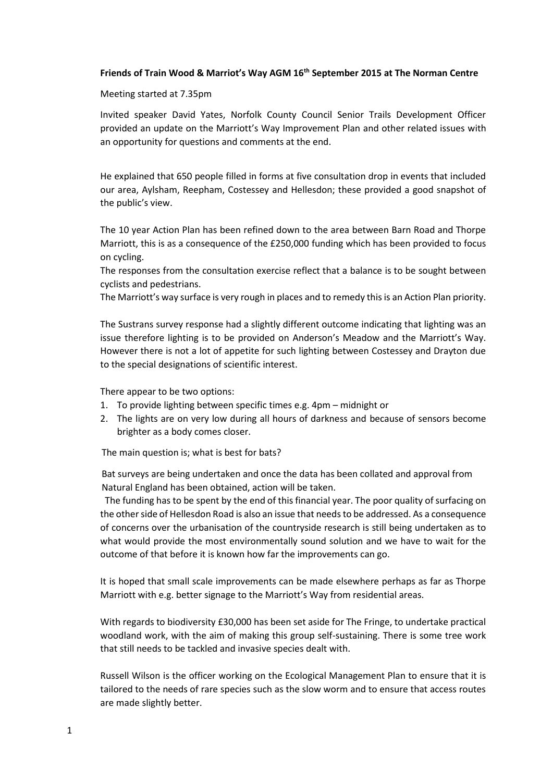#### **Friends of Train Wood & Marriot's Way AGM 16th September 2015 at The Norman Centre**

#### Meeting started at 7.35pm

Invited speaker David Yates, Norfolk County Council Senior Trails Development Officer provided an update on the Marriott's Way Improvement Plan and other related issues with an opportunity for questions and comments at the end.

He explained that 650 people filled in forms at five consultation drop in events that included our area, Aylsham, Reepham, Costessey and Hellesdon; these provided a good snapshot of the public's view.

The 10 year Action Plan has been refined down to the area between Barn Road and Thorpe Marriott, this is as a consequence of the £250,000 funding which has been provided to focus on cycling.

The responses from the consultation exercise reflect that a balance is to be sought between cyclists and pedestrians.

The Marriott's way surface is very rough in places and to remedy this is an Action Plan priority.

The Sustrans survey response had a slightly different outcome indicating that lighting was an issue therefore lighting is to be provided on Anderson's Meadow and the Marriott's Way. However there is not a lot of appetite for such lighting between Costessey and Drayton due to the special designations of scientific interest.

There appear to be two options:

- 1. To provide lighting between specific times e.g. 4pm midnight or
- 2. The lights are on very low during all hours of darkness and because of sensors become brighter as a body comes closer.

The main question is; what is best for bats?

 Bat surveys are being undertaken and once the data has been collated and approval from Natural England has been obtained, action will be taken.

 The funding has to be spent by the end of this financial year. The poor quality of surfacing on the other side of Hellesdon Road is also an issue that needs to be addressed. As a consequence of concerns over the urbanisation of the countryside research is still being undertaken as to what would provide the most environmentally sound solution and we have to wait for the outcome of that before it is known how far the improvements can go.

It is hoped that small scale improvements can be made elsewhere perhaps as far as Thorpe Marriott with e.g. better signage to the Marriott's Way from residential areas.

With regards to biodiversity £30,000 has been set aside for The Fringe, to undertake practical woodland work, with the aim of making this group self-sustaining. There is some tree work that still needs to be tackled and invasive species dealt with.

Russell Wilson is the officer working on the Ecological Management Plan to ensure that it is tailored to the needs of rare species such as the slow worm and to ensure that access routes are made slightly better.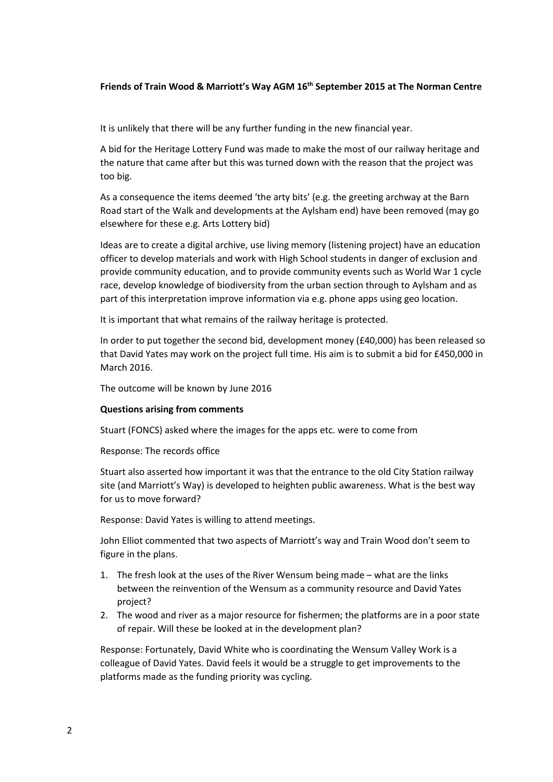## **Friends of Train Wood & Marriott's Way AGM 16th September 2015 at The Norman Centre**

It is unlikely that there will be any further funding in the new financial year.

A bid for the Heritage Lottery Fund was made to make the most of our railway heritage and the nature that came after but this was turned down with the reason that the project was too big.

As a consequence the items deemed 'the arty bits' (e.g. the greeting archway at the Barn Road start of the Walk and developments at the Aylsham end) have been removed (may go elsewhere for these e.g. Arts Lottery bid)

Ideas are to create a digital archive, use living memory (listening project) have an education officer to develop materials and work with High School students in danger of exclusion and provide community education, and to provide community events such as World War 1 cycle race, develop knowledge of biodiversity from the urban section through to Aylsham and as part of this interpretation improve information via e.g. phone apps using geo location.

It is important that what remains of the railway heritage is protected.

In order to put together the second bid, development money (£40,000) has been released so that David Yates may work on the project full time. His aim is to submit a bid for £450,000 in March 2016.

The outcome will be known by June 2016

### **Questions arising from comments**

Stuart (FONCS) asked where the images for the apps etc. were to come from

Response: The records office

Stuart also asserted how important it was that the entrance to the old City Station railway site (and Marriott's Way) is developed to heighten public awareness. What is the best way for us to move forward?

Response: David Yates is willing to attend meetings.

John Elliot commented that two aspects of Marriott's way and Train Wood don't seem to figure in the plans.

- 1. The fresh look at the uses of the River Wensum being made what are the links between the reinvention of the Wensum as a community resource and David Yates project?
- 2. The wood and river as a major resource for fishermen; the platforms are in a poor state of repair. Will these be looked at in the development plan?

Response: Fortunately, David White who is coordinating the Wensum Valley Work is a colleague of David Yates. David feels it would be a struggle to get improvements to the platforms made as the funding priority was cycling.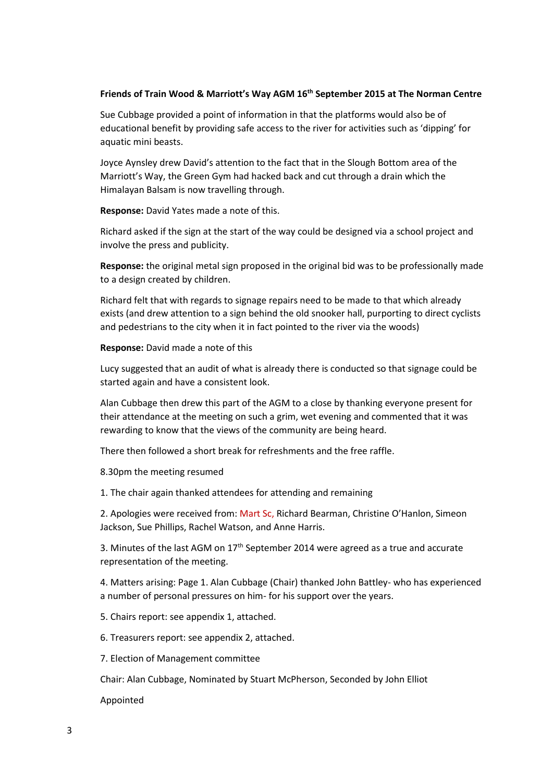# **Friends of Train Wood & Marriott's Way AGM 16th September 2015 at The Norman Centre**

Sue Cubbage provided a point of information in that the platforms would also be of educational benefit by providing safe access to the river for activities such as 'dipping' for aquatic mini beasts.

Joyce Aynsley drew David's attention to the fact that in the Slough Bottom area of the Marriott's Way, the Green Gym had hacked back and cut through a drain which the Himalayan Balsam is now travelling through.

**Response:** David Yates made a note of this.

Richard asked if the sign at the start of the way could be designed via a school project and involve the press and publicity.

**Response:** the original metal sign proposed in the original bid was to be professionally made to a design created by children.

Richard felt that with regards to signage repairs need to be made to that which already exists (and drew attention to a sign behind the old snooker hall, purporting to direct cyclists and pedestrians to the city when it in fact pointed to the river via the woods)

**Response:** David made a note of this

Lucy suggested that an audit of what is already there is conducted so that signage could be started again and have a consistent look.

Alan Cubbage then drew this part of the AGM to a close by thanking everyone present for their attendance at the meeting on such a grim, wet evening and commented that it was rewarding to know that the views of the community are being heard.

There then followed a short break for refreshments and the free raffle.

8.30pm the meeting resumed

1. The chair again thanked attendees for attending and remaining

2. Apologies were received from: Mart Sc, Richard Bearman, Christine O'Hanlon, Simeon Jackson, Sue Phillips, Rachel Watson, and Anne Harris.

3. Minutes of the last AGM on  $17<sup>th</sup>$  September 2014 were agreed as a true and accurate representation of the meeting.

4. Matters arising: Page 1. Alan Cubbage (Chair) thanked John Battley- who has experienced a number of personal pressures on him- for his support over the years.

5. Chairs report: see appendix 1, attached.

6. Treasurers report: see appendix 2, attached.

7. Election of Management committee

Chair: Alan Cubbage, Nominated by Stuart McPherson, Seconded by John Elliot

Appointed